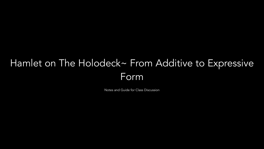# Hamlet on The Holodeck~ From Additive to Expressive Form

Notes and Guide for Class Discussion

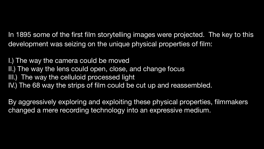In 1895 some of the first film storytelling images were projected. The key to this development was seizing on the unique physical properties of film:

I.) The way the camera could be moved II.) The way the lens could open, close, and change focus III.) The way the celluloid processed light IV.) The 68 way the strips of film could be cut up and reassembled.

By aggressively exploring and exploiting these physical properties, filmmakers changed a mere recording technology into an expressive medium.

- 
- 
- 

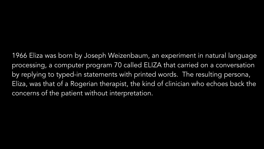1966 Eliza was born by Joseph Weizenbaum, an experiment in natural language processing, a computer program 70 called ELIZA that carried on a conversation by replying to typed-in statements with printed words. The resulting persona, Eliza, was that of a Rogerian therapist, the kind of clinician who echoes back the concerns of the patient without interpretation.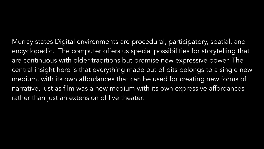Murray states Digital environments are procedural, participatory, spatial, and encyclopedic. The computer offers us special possibilities for storytelling that are continuous with older traditions but promise new expressive power. The central insight here is that everything made out of bits belongs to a single new medium, with its own affordances that can be used for creating new forms of narrative, just as film was a new medium with its own expressive affordances rather than just an extension of live theater.

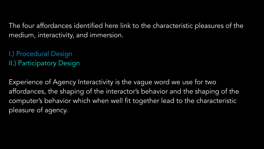### The four affordances identified here link to the characteristic pleasures of the

Experience of Agency Interactivity is the vague word we use for two affordances, the shaping of the interactor's behavior and the shaping of the computer's behavior which when well fit together lead to the characteristic pleasure of agency.

medium, interactivity, and immersion.

I.) Procedural Design II.) Participatory Design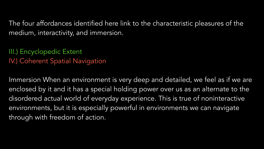## The four affordances identified here link to the characteristic pleasures of the



medium, interactivity, and immersion.

III.) Encyclopedic Extent IV.) Coherent Spatial Navigation

Immersion When an environment is very deep and detailed, we feel as if we are enclosed by it and it has a special holding power over us as an alternate to the disordered actual world of everyday experience. This is true of noninteractive environments, but it is especially powerful in environments we can navigate through with freedom of action.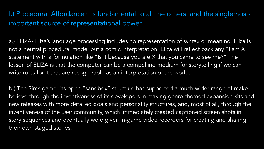I.) Procedural Affordance~ is fundamental to all the others, and the singlemostimportant source of representational power.

a.) ELIZA- Eliza's language processing includes no representation of syntax or meaning. Eliza is not a neutral procedural model but a comic interpretation. Eliza will reflect back any "I am X" statement with a formulation like "Is it because you are X that you came to see me?" The lesson of ELIZA is that the computer can be a compelling medium for storytelling if we can write rules for it that are recognizable as an interpretation of the world.

b.) The Sims game- its open "sandbox" structure has supported a much wider range of makebelieve through the inventiveness of its developers in making genre-themed expansion kits and new releases with more detailed goals and personality structures, and, most of all, through the inventiveness of the user community, which immediately created captioned screen shots in story sequences and eventually were given in-game video recorders for creating and sharing their own staged stories.

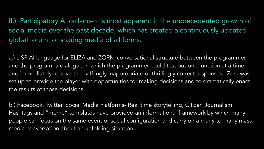II.) Participatory Affordance~ is most apparent in the unprecedented growth of social media over the past decade, which has created a continuously updated global forum for sharing media of all forms.

a.) LISP AI language for ELIZA and ZORK- conversational structure between the programmer and the program, a dialogue in which the programmer could test out one function at a time and immediately receive the bafflingly inappropriate or thrillingly correct responses. Zork was set up to provide the player with opportunities for making decisions and to dramatically enact the results of those decisions.

b.) Facebook, Twitter, Social Media Platforms- Real time storytelling, Citizen Journalism, Hashtags and "meme" templates have provided an informational framework by which many people can focus on the same event or social configuration and carry on a many to-many massmedia conversation about an unfolding situation.

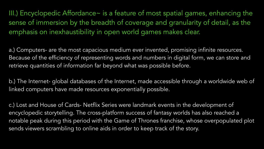III.) Encyclopedic Affordance~ is a feature of most spatial games, enhancing the sense of immersion by the breadth of coverage and granularity of detail, as the emphasis on inexhaustibility in open world games makes clear.

b.) The Internet- global databases of the Internet, made accessible through a worldwide web of linked computers have made resources exponentially possible.

a.) Computers- are the most capacious medium ever invented, promising infinite resources. Because of the efficiency of representing words and numbers in digital form, we can store and retrieve quantities of information far beyond what was possible before.

c.) Lost and House of Cards- Netflix Series were landmark events in the development of encyclopedic storytelling. The cross-platform success of fantasy worlds has also reached a notable peak during this period with the Game of Thrones franchise, whose overpopulated plot sends viewers scrambling to online aids in order to keep track of the story.